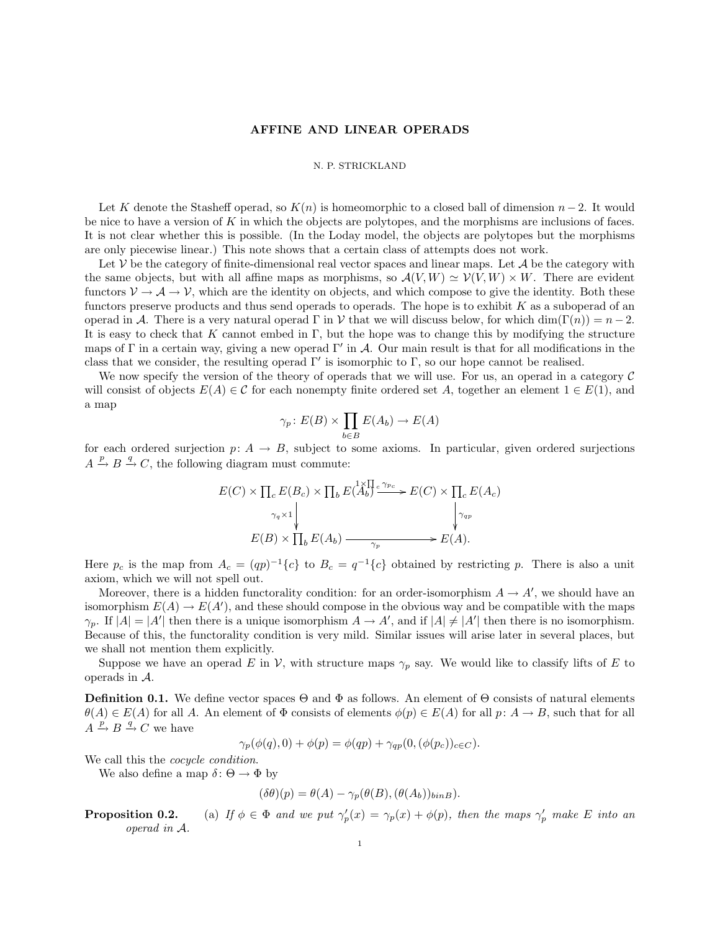### AFFINE AND LINEAR OPERADS

#### N. P. STRICKLAND

Let K denote the Stasheff operad, so  $K(n)$  is homeomorphic to a closed ball of dimension  $n-2$ . It would be nice to have a version of K in which the objects are polytopes, and the morphisms are inclusions of faces. It is not clear whether this is possible. (In the Loday model, the objects are polytopes but the morphisms are only piecewise linear.) This note shows that a certain class of attempts does not work.

Let  $V$  be the category of finite-dimensional real vector spaces and linear maps. Let  $\mathcal A$  be the category with the same objects, but with all affine maps as morphisms, so  $\mathcal{A}(V, W) \simeq \mathcal{V}(V, W) \times W$ . There are evident functors  $V \to A \to V$ , which are the identity on objects, and which compose to give the identity. Both these functors preserve products and thus send operads to operads. The hope is to exhibit  $K$  as a suboperad of an operad in A. There is a very natural operad  $\Gamma$  in V that we will discuss below, for which dim( $\Gamma(n)$ ) =  $n-2$ . It is easy to check that K cannot embed in  $\Gamma$ , but the hope was to change this by modifying the structure maps of  $\Gamma$  in a certain way, giving a new operad  $\Gamma'$  in A. Our main result is that for all modifications in the class that we consider, the resulting operad  $\Gamma'$  is isomorphic to  $\Gamma$ , so our hope cannot be realised.

We now specify the version of the theory of operads that we will use. For us, an operad in a category  $\mathcal C$ will consist of objects  $E(A) \in \mathcal{C}$  for each nonempty finite ordered set A, together an element  $1 \in E(1)$ , and a map

$$
\gamma_p \colon E(B) \times \prod_{b \in B} E(A_b) \to E(A)
$$

for each ordered surjection  $p: A \rightarrow B$ , subject to some axioms. In particular, given ordered surjections  $A \xrightarrow{p} B \xrightarrow{q} C$ , the following diagram must commute:

$$
E(C) \times \prod_{c} E(B_c) \times \prod_{b} E(\stackrel{\chi}{A_b} \stackrel{\chi}{\longrightarrow} \stackrel{\chi}{E(C)} \times \prod_{c} E(A_c)
$$
  
\n
$$
\gamma_q \times 1 \downarrow \qquad \qquad \downarrow \gamma_{qp}
$$
  
\n
$$
E(B) \times \prod_{b} E(A_b) \xrightarrow{\gamma_p} E(A).
$$

Here  $p_c$  is the map from  $A_c = (qp)^{-1}{c}$  to  $B_c = q^{-1}{c}$  obtained by restricting p. There is also a unit axiom, which we will not spell out.

Moreover, there is a hidden functorality condition: for an order-isomorphism  $A \to A'$ , we should have an isomorphism  $E(A) \to E(A')$ , and these should compose in the obvious way and be compatible with the maps  $\gamma_p$ . If  $|A| = |A'|$  then there is a unique isomorphism  $A \to A'$ , and if  $|A| \neq |A'|$  then there is no isomorphism. Because of this, the functorality condition is very mild. Similar issues will arise later in several places, but we shall not mention them explicitly.

Suppose we have an operad E in V, with structure maps  $\gamma_p$  say. We would like to classify lifts of E to operads in A.

**Definition 0.1.** We define vector spaces  $\Theta$  and  $\Phi$  as follows. An element of  $\Theta$  consists of natural elements  $\theta(A) \in E(A)$  for all A. An element of  $\Phi$  consists of elements  $\phi(p) \in E(A)$  for all  $p: A \to B$ , such that for all  $A \xrightarrow{p} B \xrightarrow{q} C$  we have

$$
\gamma_p(\phi(q),0) + \phi(p) = \phi(qp) + \gamma_{qp}(0,(\phi(p_c))_{c \in C}).
$$

We call this the *cocycle condition*.

We also define a map  $\delta\colon \Theta \to \Phi$  by

$$
(\delta \theta)(p) = \theta(A) - \gamma_p(\theta(B), (\theta(A_b))_{binB}).
$$

**Proposition 0.2.** (a) If  $\phi \in \Phi$  and we put  $\gamma_p'(x) = \gamma_p(x) + \phi(p)$ , then the maps  $\gamma_p'$  make E into an operad in A.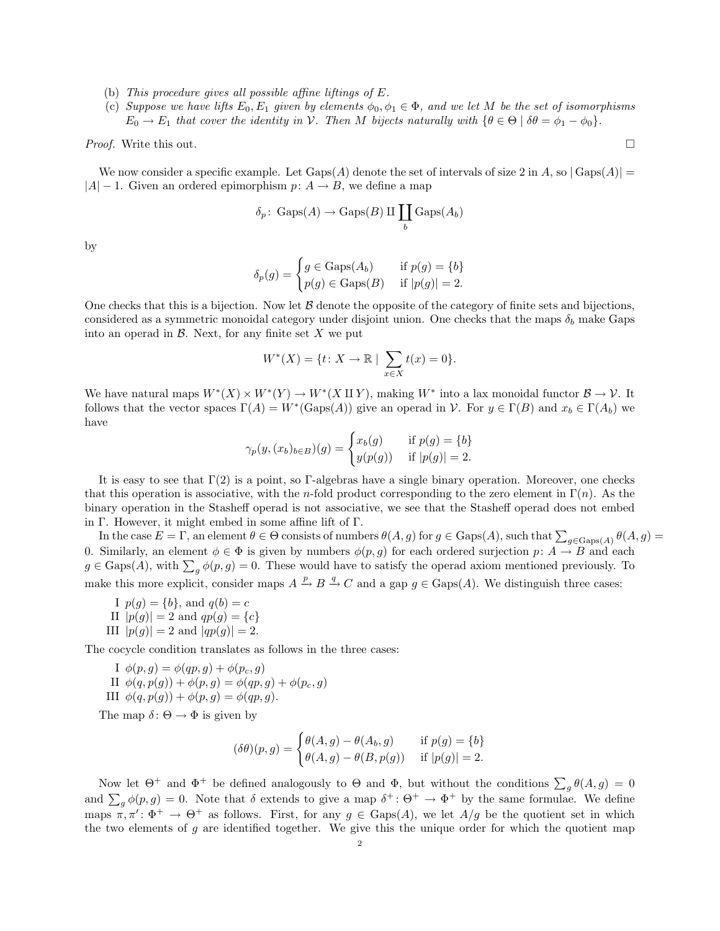- (b) This procedure gives all possible affine liftings of E.
- (c) Suppose we have lifts  $E_0, E_1$  given by elements  $\phi_0, \phi_1 \in \Phi$ , and we let M be the set of isomorphisms  $E_0 \to E_1$  that cover the identity in V. Then M bijects naturally with  $\{\theta \in \Theta \mid \delta\theta = \phi_1 - \phi_0\}$ .

*Proof.* Write this out.  $\square$ 

We now consider a specific example. Let  $Gaps(A)$  denote the set of intervals of size 2 in A, so  $|Gaps(A)| =$  $|A| - 1$ . Given an ordered epimorphism  $p: A \rightarrow B$ , we define a map

$$
\delta_p
$$
: Gaps $(A)$   $\rightarrow$  Gaps $(B)$  II  $\coprod_b$  Gaps $(A_b)$ 

by

$$
\delta_p(g) = \begin{cases} g \in \text{Gaps}(A_b) & \text{if } p(g) = \{b\} \\ p(g) \in \text{Gaps}(B) & \text{if } |p(g)| = 2. \end{cases}
$$

One checks that this is a bijection. Now let  $\beta$  denote the opposite of the category of finite sets and bijections, considered as a symmetric monoidal category under disjoint union. One checks that the maps  $\delta_b$  make Gaps into an operad in  $\mathcal{B}$ . Next, for any finite set X we put

$$
W^*(X) = \{ t \colon X \to \mathbb{R} \mid \sum_{x \in X} t(x) = 0 \}.
$$

We have natural maps  $W^*(X) \times W^*(Y) \to W^*(X \amalg Y)$ , making  $W^*$  into a lax monoidal functor  $\mathcal{B} \to \mathcal{V}$ . It follows that the vector spaces  $\Gamma(A) = W^*(\text{Gaps}(A))$  give an operad in  $\mathcal V$ . For  $y \in \Gamma(B)$  and  $x_b \in \Gamma(A_b)$  we have

$$
\gamma_p(y,(x_b)_{b\in B})(g) = \begin{cases} x_b(g) & \text{if } p(g) = \{b\} \\ y(p(g)) & \text{if } |p(g)| = 2. \end{cases}
$$

It is easy to see that  $\Gamma(2)$  is a point, so Γ-algebras have a single binary operation. Moreover, one checks that this operation is associative, with the n-fold product corresponding to the zero element in  $\Gamma(n)$ . As the binary operation in the Stasheff operad is not associative, we see that the Stasheff operad does not embed in Γ. However, it might embed in some affine lift of Γ.

In the case  $E = \Gamma$ , an element  $\theta \in \Theta$  consists of numbers  $\theta(A, g)$  for  $g \in \text{Gaps}(A)$ , such that  $\sum_{g \in \text{Gaps}(A)} \theta(A, g)$ 0. Similarly, an element  $\phi \in \Phi$  is given by numbers  $\phi(p, g)$  for each ordered surjection  $p: A \to B$  and each  $g \in \text{Gaps}(A)$ , with  $\sum_g \phi(p, g) = 0$ . These would have to satisfy the operad axiom mentioned previously. To make this more explicit, consider maps  $A \xrightarrow{p} B \xrightarrow{q} C$  and a gap  $g \in \text{Gaps}(A)$ . We distinguish three cases:

I  $p(g) = \{b\}$ , and  $q(b) = c$ II  $|p(g)| = 2$  and  $qp(g) = \{c\}$ III  $|p(g)| = 2$  and  $|qp(g)| = 2$ .

The cocycle condition translates as follows in the three cases:

I  $\phi(p,q) = \phi(qp,q) + \phi(p_c,q)$ II  $\phi(q, p(g)) + \phi(p, g) = \phi(qp, g) + \phi(p_c, g)$ III  $\phi(q, p(g)) + \phi(p, g) = \phi(qp, g)$ .

The map  $\delta: \Theta \to \Phi$  is given by

$$
(\delta\theta)(p,g) = \begin{cases} \theta(A,g) - \theta(A_b,g) & \text{if } p(g) = \{b\} \\ \theta(A,g) - \theta(B,p(g)) & \text{if } |p(g)| = 2. \end{cases}
$$

Now let  $\Theta^+$  and  $\Phi^+$  be defined analogously to  $\Theta$  and  $\Phi$ , but without the conditions  $\sum_g \theta(A,g) = 0$ and  $\sum_g \phi(p,g) = 0$ . Note that  $\delta$  extends to give a map  $\delta^+ \colon \Theta^+ \to \Phi^+$  by the same formulae. We define maps  $\pi, \pi' : \Phi^+ \to \Theta^+$  as follows. First, for any  $g \in \text{Gaps}(A)$ , we let  $A/g$  be the quotient set in which the two elements of  $g$  are identified together. We give this the unique order for which the quotient map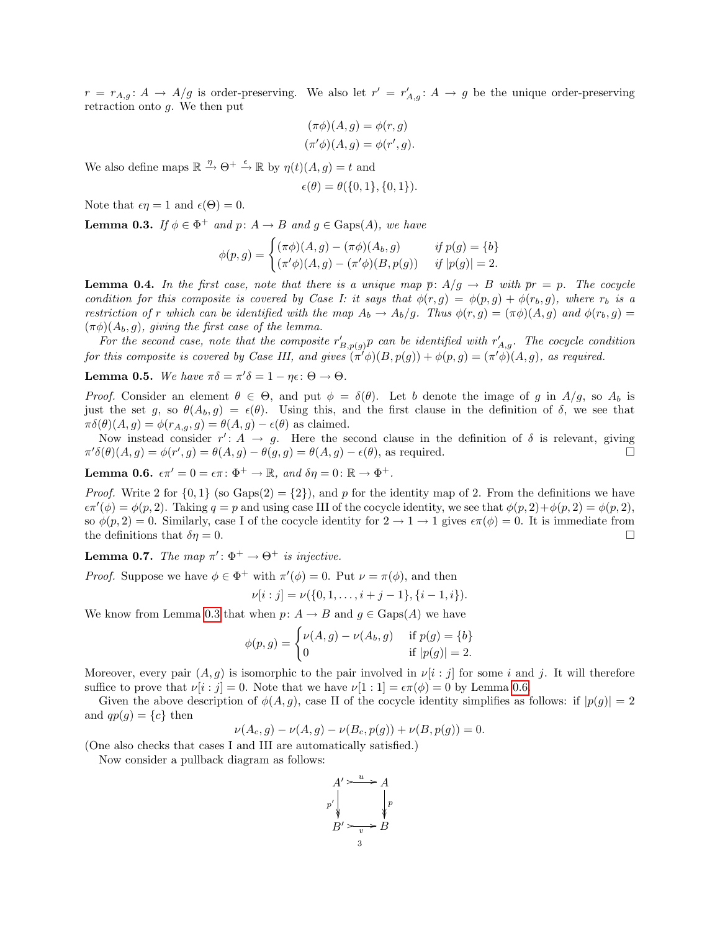$r = r_{A,g}: A \to A/g$  is order-preserving. We also let  $r' = r'_{A,g}: A \to g$  be the unique order-preserving retraction onto g. We then put

$$
(\pi \phi)(A, g) = \phi(r, g)
$$

$$
(\pi' \phi)(A, g) = \phi(r', g).
$$

We also define maps  $\mathbb{R} \stackrel{\eta}{\rightarrow} \Theta^+ \stackrel{\epsilon}{\rightarrow} \mathbb{R}$  by  $\eta(t)(A, g) = t$  and

$$
\epsilon(\theta) = \theta(\{0, 1\}, \{0, 1\}).
$$

Note that  $\epsilon \eta = 1$  and  $\epsilon(\Theta) = 0$ .

<span id="page-2-0"></span>**Lemma 0.3.** If  $\phi \in \Phi^+$  and  $p: A \to B$  and  $g \in \text{Gaps}(A)$ , we have

$$
\phi(p,g) = \begin{cases}\n(\pi \phi)(A,g) - (\pi \phi)(A_b, g) & \text{if } p(g) = \{b\} \\
(\pi' \phi)(A, g) - (\pi' \phi)(B, p(g)) & \text{if } |p(g)| = 2.\n\end{cases}
$$

**Lemma 0.4.** In the first case, note that there is a unique map  $\bar{p}$ :  $A/g \rightarrow B$  with  $\bar{p}r = p$ . The cocycle condition for this composite is covered by Case I: it says that  $\phi(r,g) = \phi(p,g) + \phi(r_b,g)$ , where  $r_b$  is a restriction of r which can be identified with the map  $A_b \to A_b/g$ . Thus  $\phi(r, g) = (\pi \phi)(A, g)$  and  $\phi(r_b, g) =$  $(\pi\phi)(A_b, g)$ , giving the first case of the lemma.

For the second case, note that the composite  $r'_{B,p(g)}p$  can be identified with  $r'_{A,g}$ . The cocycle condition for this composite is covered by Case III, and gives  $(\pi' \phi)(B, p(g)) + \phi(p, g) = (\pi' \phi)(A, g)$ , as required.

**Lemma 0.5.** We have  $\pi \delta = \pi' \delta = 1 - \eta \epsilon : \Theta \to \Theta$ .

Proof. Consider an element  $\theta \in \Theta$ , and put  $\phi = \delta(\theta)$ . Let b denote the image of g in  $A/g$ , so  $A_b$  is just the set g, so  $\theta(A_b, g) = \epsilon(\theta)$ . Using this, and the first clause in the definition of  $\delta$ , we see that  $\pi\delta(\theta)(A,g) = \phi(r_{A,g}, g) = \theta(A,g) - \epsilon(\theta)$  as claimed.

Now instead consider  $r' : A \rightarrow g$ . Here the second clause in the definition of  $\delta$  is relevant, giving  $\pi' \delta(\theta)(A, g) = \phi(r', g) = \theta(A, g) - \theta(g, g) = \theta(A, g) - \epsilon(\theta)$ , as required.

<span id="page-2-1"></span>Lemma 0.6.  $\epsilon \pi' = 0 = \epsilon \pi \colon \Phi^+ \to \mathbb{R}$ , and  $\delta \eta = 0 \colon \mathbb{R} \to \Phi^+$ .

*Proof.* Write 2 for  $\{0,1\}$  (so Gaps(2) =  $\{2\}$ ), and p for the identity map of 2. From the definitions we have  $\epsilon \pi'(\phi) = \phi(p, 2)$ . Taking  $q = p$  and using case III of the cocycle identity, we see that  $\phi(p, 2) + \phi(p, 2) = \phi(p, 2)$ , so  $\phi(p, 2) = 0$ . Similarly, case I of the cocycle identity for  $2 \to 1 \to 1$  gives  $\epsilon \pi(\phi) = 0$ . It is immediate from the definitions that  $\delta \eta = 0$ .

**Lemma 0.7.** The map  $\pi' : \Phi^+ \to \Theta^+$  is injective.

*Proof.* Suppose we have  $\phi \in \Phi^+$  with  $\pi'(\phi) = 0$ . Put  $\nu = \pi(\phi)$ , and then

$$
\nu[i:j] = \nu(\{0,1,\ldots,i+j-1\},\{i-1,i\}).
$$

We know from Lemma [0.3](#page-2-0) that when  $p: A \to B$  and  $g \in \text{Gaps}(A)$  we have

$$
\phi(p,g) = \begin{cases} \nu(A,g) - \nu(A_b,g) & \text{if } p(g) = \{b\} \\ 0 & \text{if } |p(g)| = 2. \end{cases}
$$

Moreover, every pair  $(A, g)$  is isomorphic to the pair involved in  $\nu[i : j]$  for some i and j. It will therefore suffice to prove that  $\nu[i : j] = 0$ . Note that we have  $\nu[1 : 1] = \epsilon \pi(\phi) = 0$  by Lemma [0.6.](#page-2-1)

Given the above description of  $\phi(A, g)$ , case II of the cocycle identity simplifies as follows: if  $|p(g)| = 2$ and  $qp(g) = \{c\}$  then

$$
\nu(A_c, g) - \nu(A, g) - \nu(B_c, p(g)) + \nu(B, p(g)) = 0.
$$

(One also checks that cases I and III are automatically satisfied.)

Now consider a pullback diagram as follows:

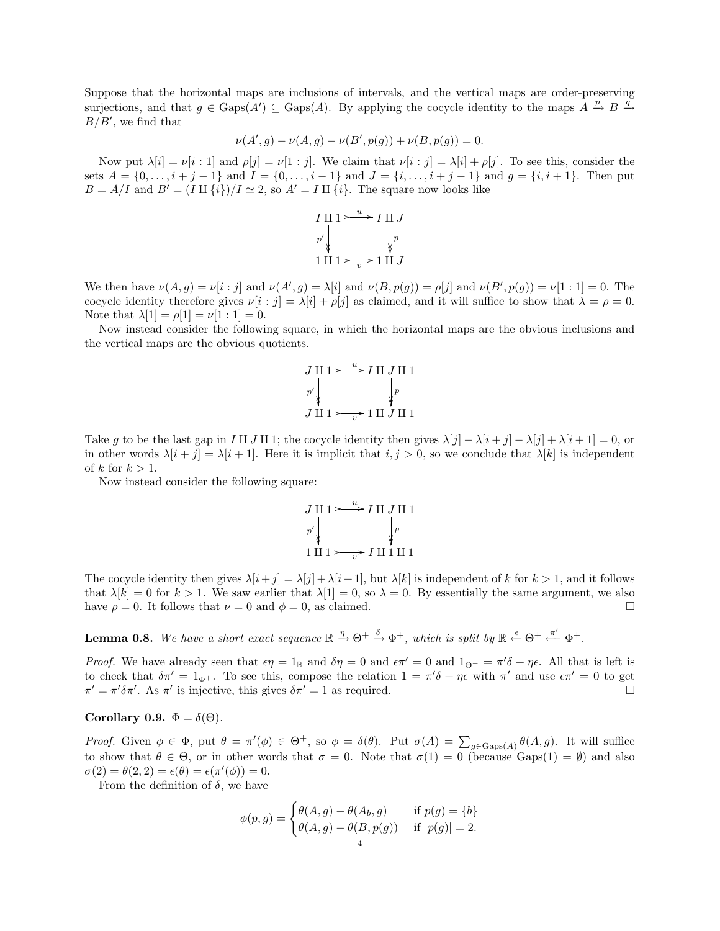Suppose that the horizontal maps are inclusions of intervals, and the vertical maps are order-preserving surjections, and that  $g \in \text{Gaps}(A') \subseteq \text{Gaps}(A)$ . By applying the cocycle identity to the maps  $A \xrightarrow{p} B \xrightarrow{q}$  $B/B'$ , we find that

$$
\nu(A', g) - \nu(A, g) - \nu(B', p(g)) + \nu(B, p(g)) = 0.
$$

Now put  $\lambda[i] = \nu[i:1]$  and  $\rho[j] = \nu[1:j]$ . We claim that  $\nu[i:j] = \lambda[i] + \rho[j]$ . To see this, consider the sets  $A = \{0, \ldots, i + j - 1\}$  and  $I = \{0, \ldots, i - 1\}$  and  $J = \{i, \ldots, i + j - 1\}$  and  $g = \{i, i + 1\}$ . Then put  $B = A/I$  and  $B' = (I \amalg \{i\})/I \simeq 2$ , so  $A' = I \amalg \{i\}$ . The square now looks like



We then have  $\nu(A, g) = \nu[i : j]$  and  $\nu(A', g) = \lambda[i]$  and  $\nu(B, p(g)) = \rho[j]$  and  $\nu(B', p(g)) = \nu[1 : 1] = 0$ . The cocycle identity therefore gives  $\nu[i : j] = \lambda[i] + \rho[j]$  as claimed, and it will suffice to show that  $\lambda = \rho = 0$ . Note that  $\lambda[1] = \rho[1] = \nu[1:1] = 0$ .

Now instead consider the following square, in which the horizontal maps are the obvious inclusions and the vertical maps are the obvious quotients.

$$
J \amalg 1 \rightarrow \rightarrow I \amalg J \amalg 1
$$
  
\n
$$
p' \downarrow \qquad \qquad p
$$
  
\n
$$
J \amalg 1 \rightarrow \rightarrow 1 \amalg J \amalg 1
$$

Take q to be the last gap in I II J II 1; the cocycle identity then gives  $\lambda[j] - \lambda[i + j] - \lambda[j] + \lambda[i + 1] = 0$ , or in other words  $\lambda[i + j] = \lambda[i + 1]$ . Here it is implicit that  $i, j > 0$ , so we conclude that  $\lambda[k]$  is independent of k for  $k > 1$ .

Now instead consider the following square:

$$
J \amalg 1 \rightarrow {\text{ }} \rightarrow I \amalg J \amalg 1
$$
\n
$$
p' \downarrow \qquad \qquad p
$$
\n
$$
1 \amalg 1 \rightarrow {\text{ }} \rightarrow I \amalg 1 \amalg 1
$$

The cocycle identity then gives  $\lambda[i+j] = \lambda[j] + \lambda[i+1]$ , but  $\lambda[k]$  is independent of k for  $k > 1$ , and it follows that  $\lambda[k] = 0$  for  $k > 1$ . We saw earlier that  $\lambda[1] = 0$ , so  $\lambda = 0$ . By essentially the same argument, we also have  $\rho = 0$ . It follows that  $\nu = 0$  and  $\phi = 0$ , as claimed.

**Lemma 0.8.** We have a short exact sequence  $\mathbb{R} \stackrel{\eta}{\to} \Theta^+ \stackrel{\delta}{\to} \Phi^+$ , which is split by  $\mathbb{R} \stackrel{\epsilon}{\leftarrow} \Theta^+ \stackrel{\pi'}{\leftarrow} \Phi^+$ .

Proof. We have already seen that  $\epsilon \eta = 1_{\mathbb{R}}$  and  $\delta \eta = 0$  and  $\epsilon \pi' = 0$  and  $1_{\Theta^+} = \pi' \delta + \eta \epsilon$ . All that is left is to check that  $\delta \pi' = 1_{\Phi^+}$ . To see this, compose the relation  $1 = \pi' \delta + \eta \epsilon$  with  $\pi'$  and use  $\epsilon \pi' = 0$  to get  $\pi' = \pi' \delta \pi'$ . As  $\pi'$  is injective, this gives  $\delta \pi' = 1$  as required.

# <span id="page-3-0"></span>Corollary 0.9.  $\Phi = \delta(\Theta)$ .

Proof. Given  $\phi \in \Phi$ , put  $\theta = \pi'(\phi) \in \Theta^+$ , so  $\phi = \delta(\theta)$ . Put  $\sigma(A) = \sum_{g \in \text{Gaps}(A)} \theta(A, g)$ . It will suffice to show that  $\theta \in \Theta$ , or in other words that  $\sigma = 0$ . Note that  $\sigma(1) = 0$  (because Gaps(1) =  $\emptyset$ ) and also  $\sigma(2) = \theta(2,2) = \epsilon(\theta) = \epsilon(\pi'(\phi)) = 0.$ 

From the definition of  $\delta$ , we have

$$
\phi(p,g) = \begin{cases} \theta(A,g) - \theta(A_b,g) & \text{if } p(g) = \{b\} \\ \theta(A,g) - \theta(B,p(g)) & \text{if } |p(g)| = 2. \end{cases}
$$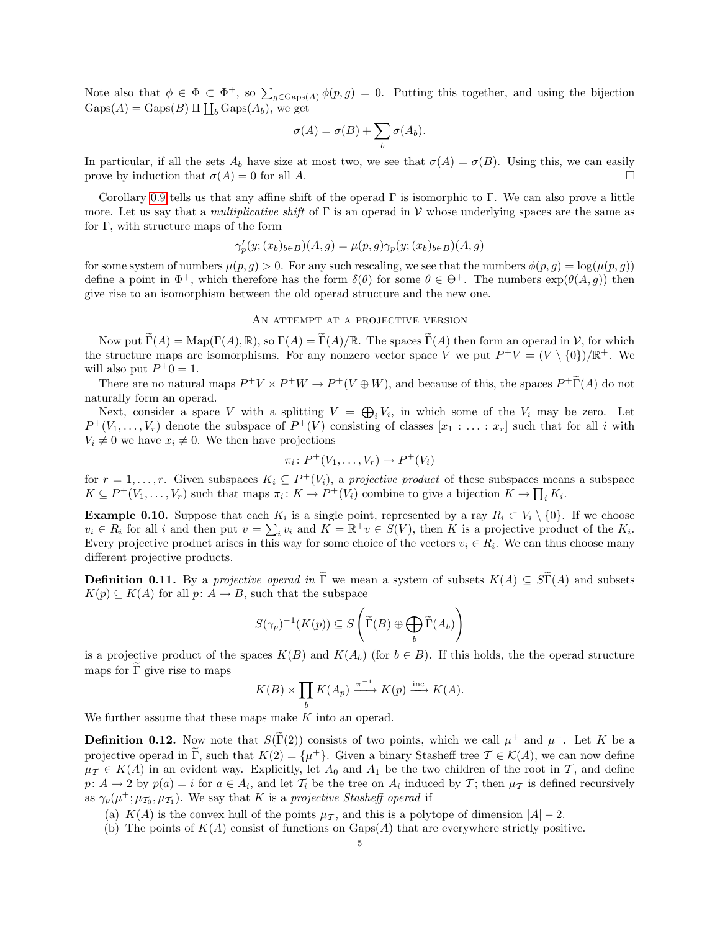Note also that  $\phi \in \Phi \subset \Phi^+$ , so  $\sum_{g \in \text{Gaps}(A)} \phi(p,g) = 0$ . Putting this together, and using the bijection  $Gaps(A) = Gaps(B) \amalg \coprod_b Gaps(A_b)$ , we get

$$
\sigma(A) = \sigma(B) + \sum_{b} \sigma(A_b).
$$

In particular, if all the sets  $A_b$  have size at most two, we see that  $\sigma(A) = \sigma(B)$ . Using this, we can easily prove by induction that  $\sigma(A) = 0$  for all A.

Corollary [0.9](#page-3-0) tells us that any affine shift of the operad  $\Gamma$  is isomorphic to  $\Gamma$ . We can also prove a little more. Let us say that a *multiplicative shift* of  $\Gamma$  is an operad in  $\mathcal V$  whose underlying spaces are the same as for Γ, with structure maps of the form

$$
\gamma_p'(y;(x_b)_{b\in B})(A,g) = \mu(p,g)\gamma_p(y;(x_b)_{b\in B})(A,g)
$$

for some system of numbers  $\mu(p, g) > 0$ . For any such rescaling, we see that the numbers  $\phi(p, g) = \log(\mu(p, g))$ define a point in  $\Phi^+$ , which therefore has the form  $\delta(\theta)$  for some  $\theta \in \Theta^+$ . The numbers  $\exp(\theta(A, g))$  then give rise to an isomorphism between the old operad structure and the new one.

### AN ATTEMPT AT A PROJECTIVE VERSION

Now put  $\widetilde{\Gamma}(A) = \text{Map}(\Gamma(A), \mathbb{R})$ , so  $\Gamma(A) = \widetilde{\Gamma}(A)/\mathbb{R}$ . The spaces  $\widetilde{\Gamma}(A)$  then form an operad in V, for which the structure maps are isomorphisms. For any nonzero vector space V we put  $P^+V = (V \setminus \{0\})/\mathbb{R}^+$ . We will also put  $P^+0 = 1$ .

There are no natural maps  $P^+V \times P^+W \to P^+(V \oplus W)$ , and because of this, the spaces  $P^+\widetilde{\Gamma}(A)$  do not naturally form an operad.

Next, consider a space V with a splitting  $V = \bigoplus_i V_i$ , in which some of the  $V_i$  may be zero. Let  $P^+(V_1,\ldots,V_r)$  denote the subspace of  $P^+(V)$  consisting of classes  $[x_1:\ldots:x_r]$  such that for all i with  $V_i \neq 0$  we have  $x_i \neq 0$ . We then have projections

$$
\pi_i\colon P^+(V_1,\ldots,V_r)\to P^+(V_i)
$$

for  $r = 1, \ldots, r$ . Given subspaces  $K_i \subseteq P^+(V_i)$ , a projective product of these subspaces means a subspace  $K \subseteq P^+(V_1,\ldots,V_r)$  such that maps  $\pi_i: K \to P^+(V_i)$  combine to give a bijection  $K \to \prod_i K_i$ .

**Example 0.10.** Suppose that each  $K_i$  is a single point, represented by a ray  $R_i \subset V_i \setminus \{0\}$ . If we choose  $v_i \in R_i$  for all i and then put  $v = \sum_i v_i$  and  $K = \mathbb{R}^+ v \in S(V)$ , then K is a projective product of the  $K_i$ . Every projective product arises in this way for some choice of the vectors  $v_i \in R_i$ . We can thus choose many different projective products.

<span id="page-4-0"></span>**Definition 0.11.** By a projective operad in  $\tilde{\Gamma}$  we mean a system of subsets  $K(A) \subseteq S\tilde{\Gamma}(A)$  and subsets  $K(p) \subseteq K(A)$  for all  $p: A \to B$ , such that the subspace

$$
S(\gamma_p)^{-1}(K(p)) \subseteq S\left(\widetilde{\Gamma}(B) \oplus \bigoplus_b \widetilde{\Gamma}(A_b)\right)
$$

is a projective product of the spaces  $K(B)$  and  $K(A_b)$  (for  $b \in B$ ). If this holds, the the operad structure maps for  $\overline{\Gamma}$  give rise to maps

$$
K(B) \times \prod_b K(A_p) \xrightarrow{\pi^{-1}} K(p) \xrightarrow{\text{inc}} K(A).
$$

We further assume that these maps make  $K$  into an operad.

**Definition 0.12.** Now note that  $S(\tilde{\Gamma}(2))$  consists of two points, which we call  $\mu^+$  and  $\mu^-$ . Let K be a projective operad in  $\tilde{\Gamma}$ , such that  $K(2) = {\mu^+}$ . Given a binary Stasheff tree  $\mathcal{T} \in \mathcal{K}(A)$ , we can now define  $\mu_{\mathcal{T}} \in K(A)$  in an evident way. Explicitly, let  $A_0$  and  $A_1$  be the two children of the root in  $\mathcal{T}$ , and define  $p: A \to 2$  by  $p(a) = i$  for  $a \in A_i$ , and let  $\mathcal{T}_i$  be the tree on  $A_i$  induced by  $\mathcal{T}$ ; then  $\mu_{\mathcal{T}}$  is defined recursively as  $\gamma_p(\mu^+;\mu_{\mathcal{T}_0},\mu_{\mathcal{T}_1})$ . We say that K is a projective Stasheff operad if

- (a) K(A) is the convex hull of the points  $\mu_T$ , and this is a polytope of dimension  $|A| 2$ .
- (b) The points of  $K(A)$  consist of functions on Gaps(A) that are everywhere strictly positive.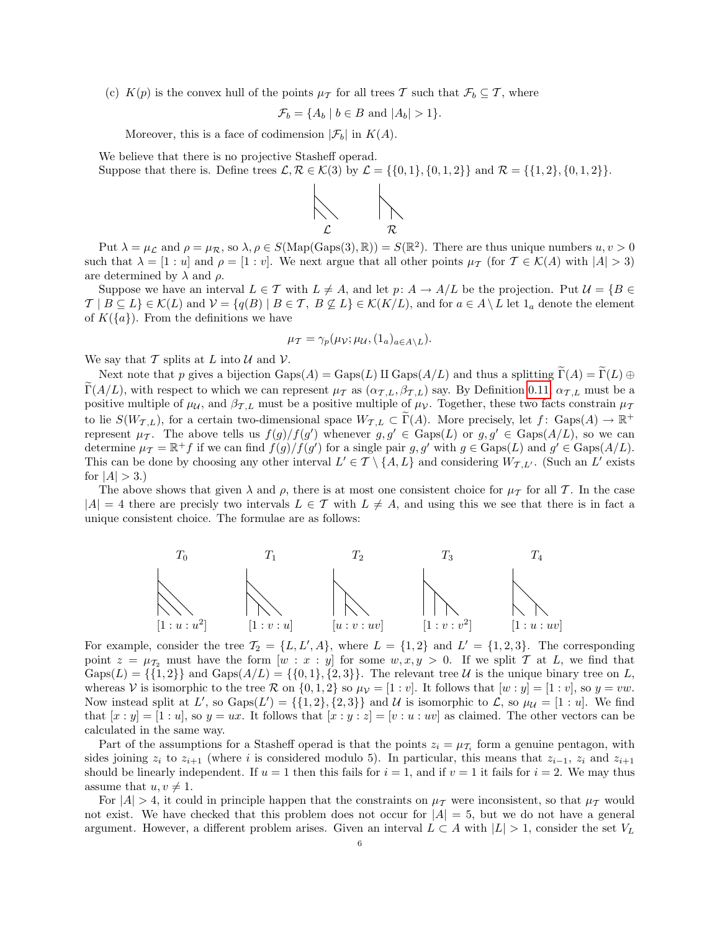(c)  $K(p)$  is the convex hull of the points  $\mu_{\mathcal{T}}$  for all trees T such that  $\mathcal{F}_b \subseteq \mathcal{T}$ , where

$$
\mathcal{F}_b = \{ A_b \mid b \in B \text{ and } |A_b| > 1 \}.
$$

Moreover, this is a face of codimension  $|\mathcal{F}_b|$  in  $K(A)$ .

We believe that there is no projective Stasheff operad.

Suppose that there is. Define trees  $\mathcal{L}, \mathcal{R} \in \mathcal{K}(3)$  by  $\mathcal{L} = \{\{0, 1\}, \{0, 1, 2\}\}\$  and  $\mathcal{R} = \{\{1, 2\}, \{0, 1, 2\}\}.$ 



Put  $\lambda = \mu_{\mathcal{L}}$  and  $\rho = \mu_{\mathcal{R}}$ , so  $\lambda, \rho \in S(\text{Map}(\text{Gaps}(3), \mathbb{R})) = S(\mathbb{R}^2)$ . There are thus unique numbers  $u, v > 0$ such that  $\lambda = [1 : u]$  and  $\rho = [1 : v]$ . We next argue that all other points  $\mu_{\mathcal{T}}$  (for  $\mathcal{T} \in \mathcal{K}(A)$  with  $|A| > 3$ ) are determined by  $\lambda$  and  $\rho$ .

Suppose we have an interval  $L \in \mathcal{T}$  with  $L \neq A$ , and let  $p: A \to A/L$  be the projection. Put  $\mathcal{U} = \{B \in \mathcal{U} \mid \exists \phi \in \mathcal{U}\}$  $\mathcal{T} \mid B \subseteq L$   $\in \mathcal{K}(L)$  and  $\mathcal{V} = \{q(B) \mid B \in \mathcal{T}, B \nsubseteq L\} \in \mathcal{K}(K/L)$ , and for  $a \in A \setminus L$  let  $1_a$  denote the element of  $K({a})$ . From the definitions we have

$$
\mu_{\mathcal{T}} = \gamma_p(\mu_{\mathcal{V}}; \mu_{\mathcal{U}}, (1_a)_{a \in A \setminus L}).
$$

We say that T splits at L into U and V.

Next note that p gives a bijection  $Gaps(A) = Gaps(L)$  II  $Gaps(A/L)$  and thus a splitting  $\Gamma(A) = \Gamma(L) \oplus \Gamma(L)$ Γ(A/L), with respect to which we can represent  $\mu_{\mathcal{T}}$  as  $(\alpha_{\mathcal{T},L}, \beta_{\mathcal{T},L})$  say. By Definition [0.11,](#page-4-0)  $\alpha_{\mathcal{T},L}$  must be a positive multiple of  $\mu_{\mathcal{U}}$ , and  $\beta_{\mathcal{T},L}$  must be a positive multiple of  $\mu_{\mathcal{V}}$ . Together, these two facts constrain  $\mu_{\mathcal{T}}$ to lie  $S(W_{\mathcal{T},L})$ , for a certain two-dimensional space  $W_{\mathcal{T},L} \subset \widetilde{\Gamma}(A)$ . More precisely, let  $f: \text{Gaps}(A) \to \mathbb{R}^+$ represent  $\mu_{\mathcal{T}}$ . The above tells us  $f(g)/f(g')$  whenever  $g, g' \in \text{Gaps}(L)$  or  $g, g' \in \text{Gaps}(A/L)$ , so we can determine  $\mu_T = \mathbb{R}^+ f$  if we can find  $f(g)/f(g')$  for a single pair  $g, g'$  with  $g \in \text{Gaps}(L)$  and  $g' \in \text{Gaps}(A/L)$ . This can be done by choosing any other interval  $L' \in \mathcal{T} \setminus \{A, L\}$  and considering  $W_{\mathcal{T}, L'}$ . (Such an L' exists for  $|A| > 3.$ 

The above shows that given  $\lambda$  and  $\rho$ , there is at most one consistent choice for  $\mu_{\mathcal{T}}$  for all T. In the case  $|A| = 4$  there are precisly two intervals  $L \in \mathcal{T}$  with  $L \neq A$ , and using this we see that there is in fact a unique consistent choice. The formulae are as follows:



For example, consider the tree  $\mathcal{T}_2 = \{L, L', A\}$ , where  $L = \{1, 2\}$  and  $L' = \{1, 2, 3\}$ . The corresponding point  $z = \mu_{\mathcal{T}_2}$  must have the form  $[w : x : y]$  for some  $w, x, y > 0$ . If we split T at L, we find that  $Gaps(L) = \{\{1, 2\}\}\$ and  $Gaps(A/L) = \{\{0, 1\}, \{2, 3\}\}\$ . The relevant tree U is the unique binary tree on L, whereas V is isomorphic to the tree R on  $\{0,1,2\}$  so  $\mu_{\mathcal{V}} = [1 : v]$ . It follows that  $[w : y] = [1 : v]$ , so  $y = vw$ . Now instead split at L', so  $\text{Gaps}(L') = \{\{1, 2\}, \{2, 3\}\}\$ and U is isomorphic to L, so  $\mu_{\mathcal{U}} = [1 : u]$ . We find that  $[x : y] = [1 : u]$ , so  $y = ux$ . It follows that  $[x : y : z] = [v : u : uv]$  as claimed. The other vectors can be calculated in the same way.

Part of the assumptions for a Stasheff operad is that the points  $z_i = \mu_{\mathcal{T}_i}$  form a genuine pentagon, with sides joining  $z_i$  to  $z_{i+1}$  (where i is considered modulo 5). In particular, this means that  $z_{i-1}$ ,  $z_i$  and  $z_{i+1}$ should be linearly independent. If  $u = 1$  then this fails for  $i = 1$ , and if  $v = 1$  it fails for  $i = 2$ . We may thus assume that  $u, v \neq 1$ .

For  $|A| > 4$ , it could in principle happen that the constraints on  $\mu_{\mathcal{T}}$  were inconsistent, so that  $\mu_{\mathcal{T}}$  would not exist. We have checked that this problem does not occur for  $|A| = 5$ , but we do not have a general argument. However, a different problem arises. Given an interval  $L \subset A$  with  $|L| > 1$ , consider the set  $V_L$